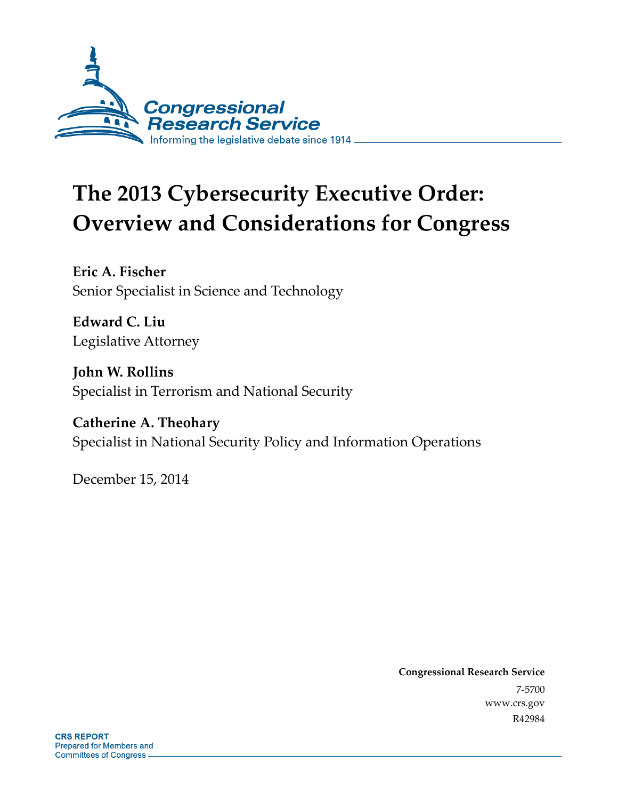

# **The 2013 Cybersecurity Executive Order: Overview and Considerations for Congress**

**Eric A. Fischer**  Senior Specialist in Science and Technology

**Edward C. Liu**  Legislative Attorney

**John W. Rollins**  Specialist in Terrorism and National Security

**Catherine A. Theohary**  Specialist in National Security Policy and Information Operations

December 15, 2014

**Congressional Research Service**  7-5700 www.crs.gov R42984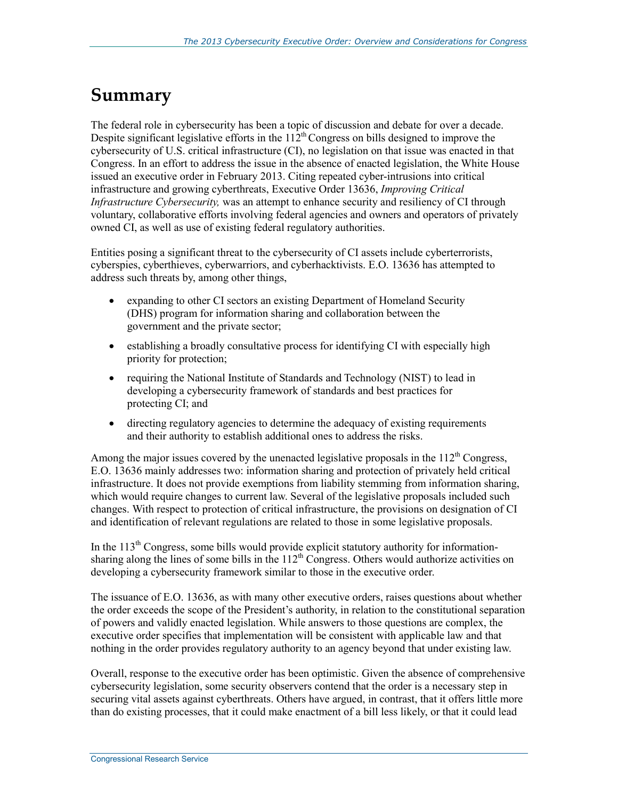# **Summary**

The federal role in cybersecurity has been a topic of discussion and debate for over a decade. Despite significant legislative efforts in the  $112<sup>th</sup>$  Congress on bills designed to improve the cybersecurity of U.S. critical infrastructure (CI), no legislation on that issue was enacted in that Congress. In an effort to address the issue in the absence of enacted legislation, the White House issued an executive order in February 2013. Citing repeated cyber-intrusions into critical infrastructure and growing cyberthreats, Executive Order 13636, *Improving Critical Infrastructure Cybersecurity,* was an attempt to enhance security and resiliency of CI through voluntary, collaborative efforts involving federal agencies and owners and operators of privately owned CI, as well as use of existing federal regulatory authorities.

Entities posing a significant threat to the cybersecurity of CI assets include cyberterrorists, cyberspies, cyberthieves, cyberwarriors, and cyberhacktivists. E.O. 13636 has attempted to address such threats by, among other things,

- expanding to other CI sectors an existing Department of Homeland Security (DHS) program for information sharing and collaboration between the government and the private sector;
- establishing a broadly consultative process for identifying CI with especially high priority for protection;
- requiring the National Institute of Standards and Technology (NIST) to lead in developing a cybersecurity framework of standards and best practices for protecting CI; and
- directing regulatory agencies to determine the adequacy of existing requirements and their authority to establish additional ones to address the risks.

Among the major issues covered by the unenacted legislative proposals in the  $112<sup>th</sup>$  Congress, E.O. 13636 mainly addresses two: information sharing and protection of privately held critical infrastructure. It does not provide exemptions from liability stemming from information sharing, which would require changes to current law. Several of the legislative proposals included such changes. With respect to protection of critical infrastructure, the provisions on designation of CI and identification of relevant regulations are related to those in some legislative proposals.

In the  $113<sup>th</sup>$  Congress, some bills would provide explicit statutory authority for informationsharing along the lines of some bills in the  $112<sup>th</sup>$  Congress. Others would authorize activities on developing a cybersecurity framework similar to those in the executive order.

The issuance of E.O. 13636, as with many other executive orders, raises questions about whether the order exceeds the scope of the President's authority, in relation to the constitutional separation of powers and validly enacted legislation. While answers to those questions are complex, the executive order specifies that implementation will be consistent with applicable law and that nothing in the order provides regulatory authority to an agency beyond that under existing law.

Overall, response to the executive order has been optimistic. Given the absence of comprehensive cybersecurity legislation, some security observers contend that the order is a necessary step in securing vital assets against cyberthreats. Others have argued, in contrast, that it offers little more than do existing processes, that it could make enactment of a bill less likely, or that it could lead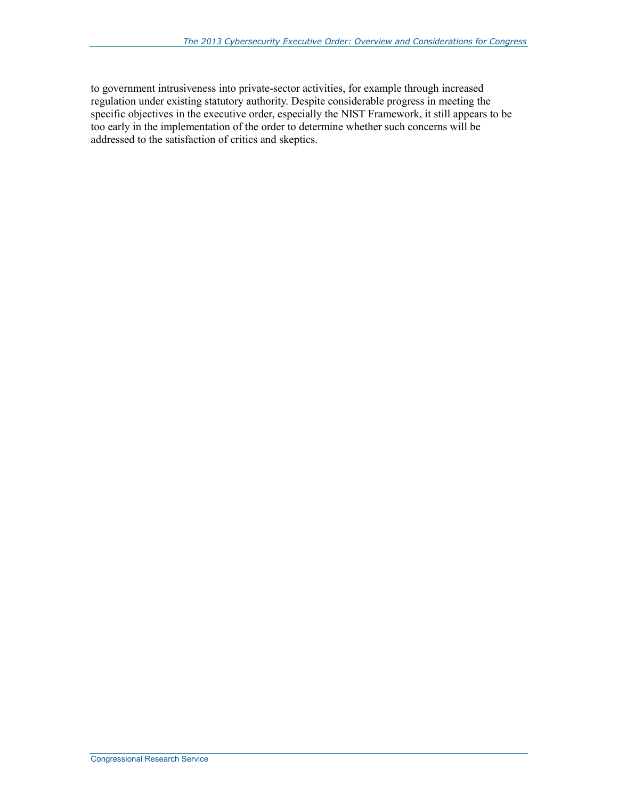to government intrusiveness into private-sector activities, for example through increased regulation under existing statutory authority. Despite considerable progress in meeting the specific objectives in the executive order, especially the NIST Framework, it still appears to be too early in the implementation of the order to determine whether such concerns will be addressed to the satisfaction of critics and skeptics.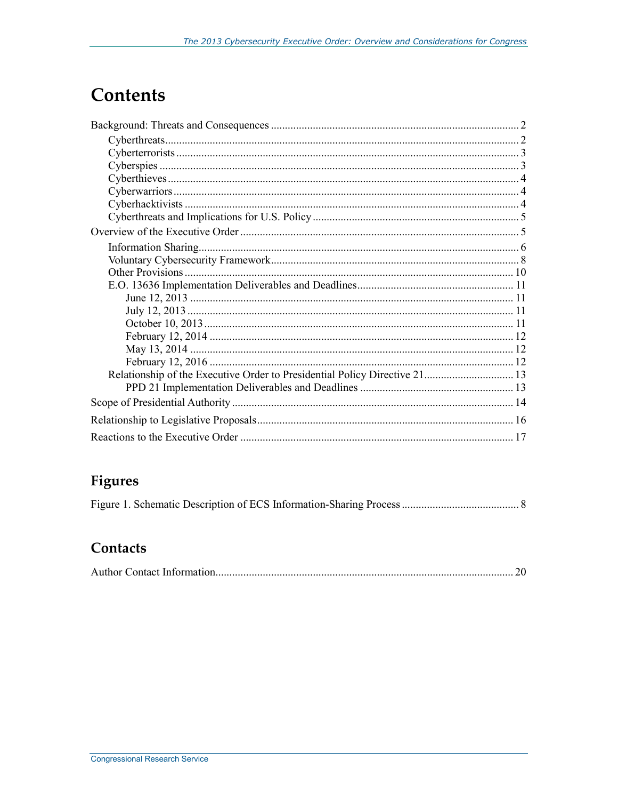# **Contents**

### **Figures**

### Contacts

|--|--|--|--|--|--|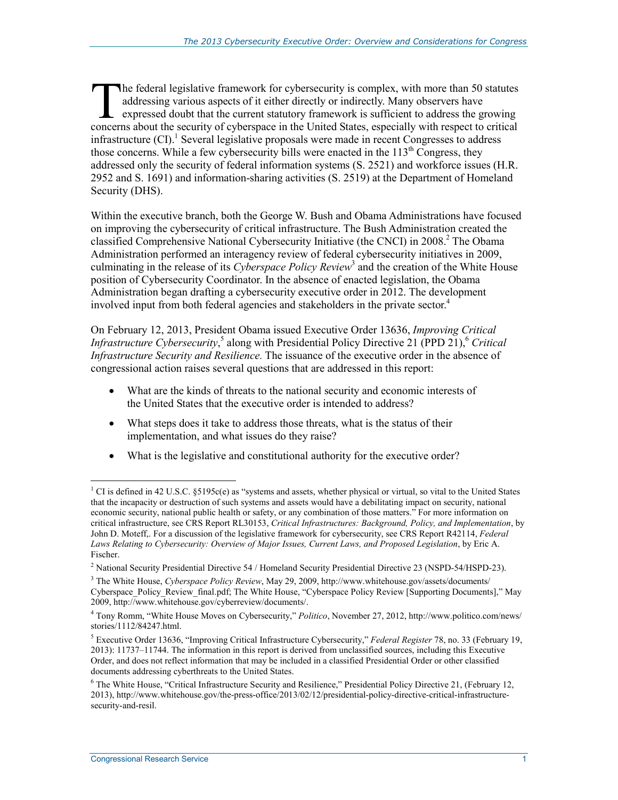he federal legislative framework for cybersecurity is complex, with more than 50 statutes addressing various aspects of it either directly or indirectly. Many observers have expressed doubt that the current statutory framework is sufficient to address the growing The federal legislative framework for cybersecurity is complex, with more than 50 statutes addressing various aspects of it either directly or indirectly. Many observers have expressed doubt that the current statutory fram infrastructure  $(CI)$ .<sup>1</sup> Several legislative proposals were made in recent Congresses to address those concerns. While a few cybersecurity bills were enacted in the  $113<sup>th</sup>$  Congress, they addressed only the security of federal information systems (S. 2521) and workforce issues (H.R. 2952 and S. 1691) and information-sharing activities (S. 2519) at the Department of Homeland Security (DHS).

Within the executive branch, both the George W. Bush and Obama Administrations have focused on improving the cybersecurity of critical infrastructure. The Bush Administration created the classified Comprehensive National Cybersecurity Initiative (the CNCI) in 2008.<sup>2</sup> The Obama Administration performed an interagency review of federal cybersecurity initiatives in 2009, culminating in the release of its *Cyberspace Policy Review*<sup>3</sup> and the creation of the White House position of Cybersecurity Coordinator. In the absence of enacted legislation, the Obama Administration began drafting a cybersecurity executive order in 2012. The development involved input from both federal agencies and stakeholders in the private sector.<sup>4</sup>

On February 12, 2013, President Obama issued Executive Order 13636, *Improving Critical Infrastructure Cybersecurity*,<sup>5</sup> along with Presidential Policy Directive 21 (PPD 21),<sup>6</sup> *Critical Infrastructure Security and Resilience.* The issuance of the executive order in the absence of congressional action raises several questions that are addressed in this report:

- What are the kinds of threats to the national security and economic interests of the United States that the executive order is intended to address?
- What steps does it take to address those threats, what is the status of their implementation, and what issues do they raise?
- What is the legislative and constitutional authority for the executive order?

<sup>1</sup> <sup>1</sup> CI is defined in 42 U.S.C. §5195c(e) as "systems and assets, whether physical or virtual, so vital to the United States that the incapacity or destruction of such systems and assets would have a debilitating impact on security, national economic security, national public health or safety, or any combination of those matters." For more information on critical infrastructure, see CRS Report RL30153, *Critical Infrastructures: Background, Policy, and Implementation*, by John D. Moteff,. For a discussion of the legislative framework for cybersecurity, see CRS Report R42114, *Federal Laws Relating to Cybersecurity: Overview of Major Issues, Current Laws, and Proposed Legislation*, by Eric A. Fischer.

<sup>&</sup>lt;sup>2</sup> National Security Presidential Directive 54 / Homeland Security Presidential Directive 23 (NSPD-54/HSPD-23).

<sup>3</sup> The White House, *Cyberspace Policy Review*, May 29, 2009, http://www.whitehouse.gov/assets/documents/ Cyberspace\_Policy\_Review\_final.pdf; The White House, "Cyberspace Policy Review [Supporting Documents]," May 2009, http://www.whitehouse.gov/cyberreview/documents/.

<sup>4</sup> Tony Romm, "White House Moves on Cybersecurity," *Politico*, November 27, 2012, http://www.politico.com/news/ stories/1112/84247.html.

<sup>5</sup> Executive Order 13636, "Improving Critical Infrastructure Cybersecurity," *Federal Register* 78, no. 33 (February 19, 2013): 11737–11744. The information in this report is derived from unclassified sources, including this Executive Order, and does not reflect information that may be included in a classified Presidential Order or other classified documents addressing cyberthreats to the United States.

<sup>&</sup>lt;sup>6</sup> The White House, "Critical Infrastructure Security and Resilience," Presidential Policy Directive 21, (February 12, 2013), http://www.whitehouse.gov/the-press-office/2013/02/12/presidential-policy-directive-critical-infrastructuresecurity-and-resil.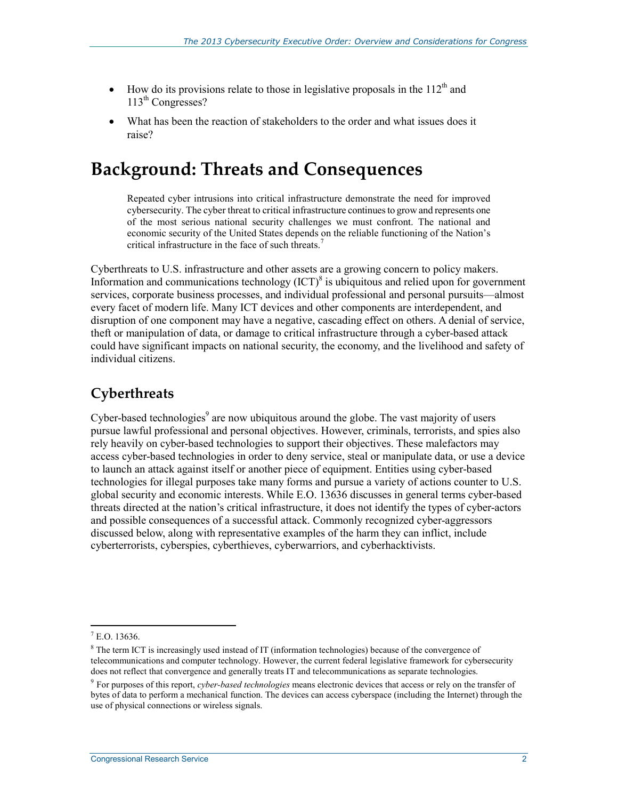- How do its provisions relate to those in legislative proposals in the  $112<sup>th</sup>$  and 113<sup>th</sup> Congresses?
- What has been the reaction of stakeholders to the order and what issues does it raise?

# **Background: Threats and Consequences**

Repeated cyber intrusions into critical infrastructure demonstrate the need for improved cybersecurity. The cyber threat to critical infrastructure continues to grow and represents one of the most serious national security challenges we must confront. The national and economic security of the United States depends on the reliable functioning of the Nation's critical infrastructure in the face of such threats.<sup>7</sup>

Cyberthreats to U.S. infrastructure and other assets are a growing concern to policy makers. Information and communications technology  ${(ICT)}^8$  is ubiquitous and relied upon for government services, corporate business processes, and individual professional and personal pursuits—almost every facet of modern life. Many ICT devices and other components are interdependent, and disruption of one component may have a negative, cascading effect on others. A denial of service, theft or manipulation of data, or damage to critical infrastructure through a cyber-based attack could have significant impacts on national security, the economy, and the livelihood and safety of individual citizens.

### **Cyberthreats**

Cyber-based technologies<sup>9</sup> are now ubiquitous around the globe. The vast majority of users pursue lawful professional and personal objectives. However, criminals, terrorists, and spies also rely heavily on cyber-based technologies to support their objectives. These malefactors may access cyber-based technologies in order to deny service, steal or manipulate data, or use a device to launch an attack against itself or another piece of equipment. Entities using cyber-based technologies for illegal purposes take many forms and pursue a variety of actions counter to U.S. global security and economic interests. While E.O. 13636 discusses in general terms cyber-based threats directed at the nation's critical infrastructure, it does not identify the types of cyber-actors and possible consequences of a successful attack. Commonly recognized cyber-aggressors discussed below, along with representative examples of the harm they can inflict, include cyberterrorists, cyberspies, cyberthieves, cyberwarriors, and cyberhacktivists.

 7 E.O. 13636.

<sup>&</sup>lt;sup>8</sup> The term ICT is increasingly used instead of IT (information technologies) because of the convergence of telecommunications and computer technology. However, the current federal legislative framework for cybersecurity does not reflect that convergence and generally treats IT and telecommunications as separate technologies.

<sup>9</sup> For purposes of this report, *cyber-based technologies* means electronic devices that access or rely on the transfer of bytes of data to perform a mechanical function. The devices can access cyberspace (including the Internet) through the use of physical connections or wireless signals.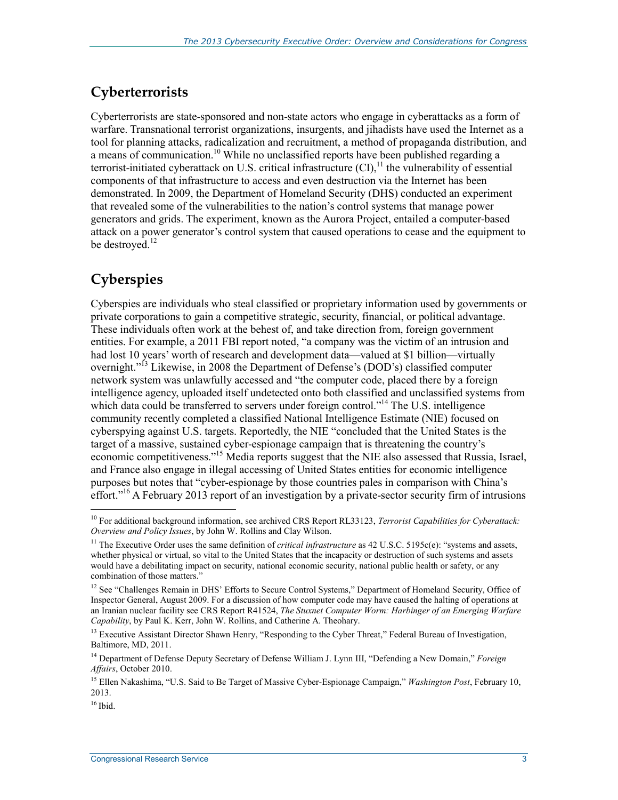### **Cyberterrorists**

Cyberterrorists are state-sponsored and non-state actors who engage in cyberattacks as a form of warfare. Transnational terrorist organizations, insurgents, and jihadists have used the Internet as a tool for planning attacks, radicalization and recruitment, a method of propaganda distribution, and a means of communication.<sup>10</sup> While no unclassified reports have been published regarding a terrorist-initiated cyberattack on U.S. critical infrastructure  $(CI)$ ,  $^{11}$  the vulnerability of essential components of that infrastructure to access and even destruction via the Internet has been demonstrated. In 2009, the Department of Homeland Security (DHS) conducted an experiment that revealed some of the vulnerabilities to the nation's control systems that manage power generators and grids. The experiment, known as the Aurora Project, entailed a computer-based attack on a power generator's control system that caused operations to cease and the equipment to be destroyed. $^{12}$ 

### **Cyberspies**

Cyberspies are individuals who steal classified or proprietary information used by governments or private corporations to gain a competitive strategic, security, financial, or political advantage. These individuals often work at the behest of, and take direction from, foreign government entities. For example, a 2011 FBI report noted, "a company was the victim of an intrusion and had lost 10 years' worth of research and development data—valued at \$1 billion—virtually overnight."<sup>13</sup> Likewise, in 2008 the Department of Defense's (DOD's) classified computer network system was unlawfully accessed and "the computer code, placed there by a foreign intelligence agency, uploaded itself undetected onto both classified and unclassified systems from which data could be transferred to servers under foreign control."<sup>14</sup> The U.S. intelligence community recently completed a classified National Intelligence Estimate (NIE) focused on cyberspying against U.S. targets. Reportedly, the NIE "concluded that the United States is the target of a massive, sustained cyber-espionage campaign that is threatening the country's economic competitiveness."15 Media reports suggest that the NIE also assessed that Russia, Israel, and France also engage in illegal accessing of United States entities for economic intelligence purposes but notes that "cyber-espionage by those countries pales in comparison with China's effort."<sup>16</sup> A February 2013 report of an investigation by a private-sector security firm of intrusions

<sup>10</sup> For additional background information, see archived CRS Report RL33123, *Terrorist Capabilities for Cyberattack: Overview and Policy Issues*, by John W. Rollins and Clay Wilson.

<sup>&</sup>lt;sup>11</sup> The Executive Order uses the same definition of *critical infrastructure* as 42 U.S.C. 5195c(e): "systems and assets, whether physical or virtual, so vital to the United States that the incapacity or destruction of such systems and assets would have a debilitating impact on security, national economic security, national public health or safety, or any combination of those matters."

<sup>&</sup>lt;sup>12</sup> See "Challenges Remain in DHS' Efforts to Secure Control Systems," Department of Homeland Security, Office of Inspector General, August 2009. For a discussion of how computer code may have caused the halting of operations at an Iranian nuclear facility see CRS Report R41524, *The Stuxnet Computer Worm: Harbinger of an Emerging Warfare Capability*, by Paul K. Kerr, John W. Rollins, and Catherine A. Theohary.

<sup>&</sup>lt;sup>13</sup> Executive Assistant Director Shawn Henry, "Responding to the Cyber Threat," Federal Bureau of Investigation, Baltimore, MD, 2011.

<sup>14</sup> Department of Defense Deputy Secretary of Defense William J. Lynn III, "Defending a New Domain," *Foreign Affairs*, October 2010.

<sup>15</sup> Ellen Nakashima, "U.S. Said to Be Target of Massive Cyber-Espionage Campaign," *Washington Post*, February 10, 2013.

 $16$  Ibid.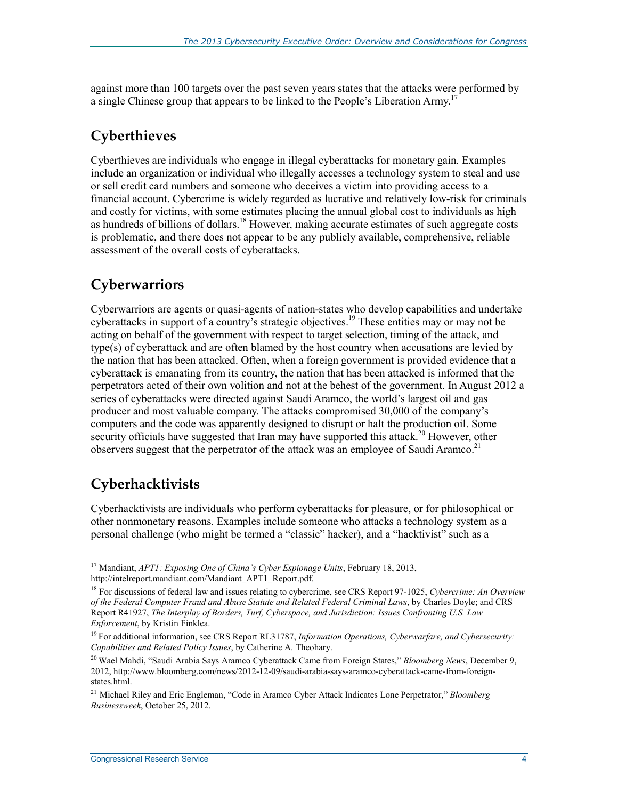against more than 100 targets over the past seven years states that the attacks were performed by a single Chinese group that appears to be linked to the People's Liberation Army.<sup>17</sup>

### **Cyberthieves**

Cyberthieves are individuals who engage in illegal cyberattacks for monetary gain. Examples include an organization or individual who illegally accesses a technology system to steal and use or sell credit card numbers and someone who deceives a victim into providing access to a financial account. Cybercrime is widely regarded as lucrative and relatively low-risk for criminals and costly for victims, with some estimates placing the annual global cost to individuals as high as hundreds of billions of dollars.<sup>18</sup> However, making accurate estimates of such aggregate costs is problematic, and there does not appear to be any publicly available, comprehensive, reliable assessment of the overall costs of cyberattacks.

### **Cyberwarriors**

Cyberwarriors are agents or quasi-agents of nation-states who develop capabilities and undertake cyberattacks in support of a country's strategic objectives.<sup>19</sup> These entities may or may not be acting on behalf of the government with respect to target selection, timing of the attack, and type(s) of cyberattack and are often blamed by the host country when accusations are levied by the nation that has been attacked. Often, when a foreign government is provided evidence that a cyberattack is emanating from its country, the nation that has been attacked is informed that the perpetrators acted of their own volition and not at the behest of the government. In August 2012 a series of cyberattacks were directed against Saudi Aramco, the world's largest oil and gas producer and most valuable company. The attacks compromised 30,000 of the company's computers and the code was apparently designed to disrupt or halt the production oil. Some security officials have suggested that Iran may have supported this attack.<sup>20</sup> However, other observers suggest that the perpetrator of the attack was an employee of Saudi Aramco.<sup>21</sup>

### **Cyberhacktivists**

<u>.</u>

Cyberhacktivists are individuals who perform cyberattacks for pleasure, or for philosophical or other nonmonetary reasons. Examples include someone who attacks a technology system as a personal challenge (who might be termed a "classic" hacker), and a "hacktivist" such as a

<sup>17</sup> Mandiant, *APT1: Exposing One of China's Cyber Espionage Units*, February 18, 2013, http://intelreport.mandiant.com/Mandiant\_APT1\_Report.pdf.

<sup>18</sup> For discussions of federal law and issues relating to cybercrime, see CRS Report 97-1025, *Cybercrime: An Overview of the Federal Computer Fraud and Abuse Statute and Related Federal Criminal Laws*, by Charles Doyle; and CRS Report R41927, *The Interplay of Borders, Turf, Cyberspace, and Jurisdiction: Issues Confronting U.S. Law Enforcement*, by Kristin Finklea.

<sup>19</sup> For additional information, see CRS Report RL31787, *Information Operations, Cyberwarfare, and Cybersecurity: Capabilities and Related Policy Issues*, by Catherine A. Theohary.

<sup>20</sup> Wael Mahdi, "Saudi Arabia Says Aramco Cyberattack Came from Foreign States," *Bloomberg News*, December 9, 2012, http://www.bloomberg.com/news/2012-12-09/saudi-arabia-says-aramco-cyberattack-came-from-foreignstates.html.

<sup>21</sup> Michael Riley and Eric Engleman, "Code in Aramco Cyber Attack Indicates Lone Perpetrator," *Bloomberg Businessweek*, October 25, 2012.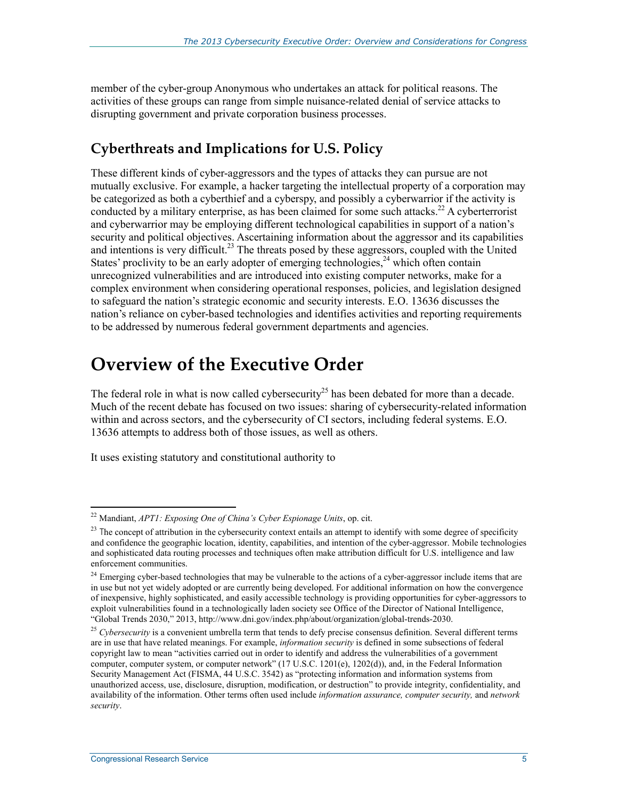member of the cyber-group Anonymous who undertakes an attack for political reasons. The activities of these groups can range from simple nuisance-related denial of service attacks to disrupting government and private corporation business processes.

### **Cyberthreats and Implications for U.S. Policy**

These different kinds of cyber-aggressors and the types of attacks they can pursue are not mutually exclusive. For example, a hacker targeting the intellectual property of a corporation may be categorized as both a cyberthief and a cyberspy, and possibly a cyberwarrior if the activity is conducted by a military enterprise, as has been claimed for some such attacks.<sup>22</sup> A cyberterrorist and cyberwarrior may be employing different technological capabilities in support of a nation's security and political objectives. Ascertaining information about the aggressor and its capabilities and intentions is very difficult.<sup>23</sup> The threats posed by these aggressors, coupled with the United States' proclivity to be an early adopter of emerging technologies,  $24$  which often contain unrecognized vulnerabilities and are introduced into existing computer networks, make for a complex environment when considering operational responses, policies, and legislation designed to safeguard the nation's strategic economic and security interests. E.O. 13636 discusses the nation's reliance on cyber-based technologies and identifies activities and reporting requirements to be addressed by numerous federal government departments and agencies.

# **Overview of the Executive Order**

The federal role in what is now called cybersecurity<sup>25</sup> has been debated for more than a decade. Much of the recent debate has focused on two issues: sharing of cybersecurity-related information within and across sectors, and the cybersecurity of CI sectors, including federal systems. E.O. 13636 attempts to address both of those issues, as well as others.

It uses existing statutory and constitutional authority to

<sup>22</sup> Mandiant, *APT1: Exposing One of China's Cyber Espionage Units*, op. cit.

 $23$  The concept of attribution in the cybersecurity context entails an attempt to identify with some degree of specificity and confidence the geographic location, identity, capabilities, and intention of the cyber-aggressor. Mobile technologies and sophisticated data routing processes and techniques often make attribution difficult for U.S. intelligence and law enforcement communities.

<sup>&</sup>lt;sup>24</sup> Emerging cyber-based technologies that may be vulnerable to the actions of a cyber-aggressor include items that are in use but not yet widely adopted or are currently being developed. For additional information on how the convergence of inexpensive, highly sophisticated, and easily accessible technology is providing opportunities for cyber-aggressors to exploit vulnerabilities found in a technologically laden society see Office of the Director of National Intelligence, "Global Trends 2030," 2013, http://www.dni.gov/index.php/about/organization/global-trends-2030.

<sup>&</sup>lt;sup>25</sup> Cybersecurity is a convenient umbrella term that tends to defy precise consensus definition. Several different terms are in use that have related meanings. For example, *information security* is defined in some subsections of federal copyright law to mean "activities carried out in order to identify and address the vulnerabilities of a government computer, computer system, or computer network" (17 U.S.C. 1201(e), 1202(d)), and, in the Federal Information Security Management Act (FISMA, 44 U.S.C. 3542) as "protecting information and information systems from unauthorized access, use, disclosure, disruption, modification, or destruction" to provide integrity, confidentiality, and availability of the information. Other terms often used include *information assurance, computer security,* and *network security*.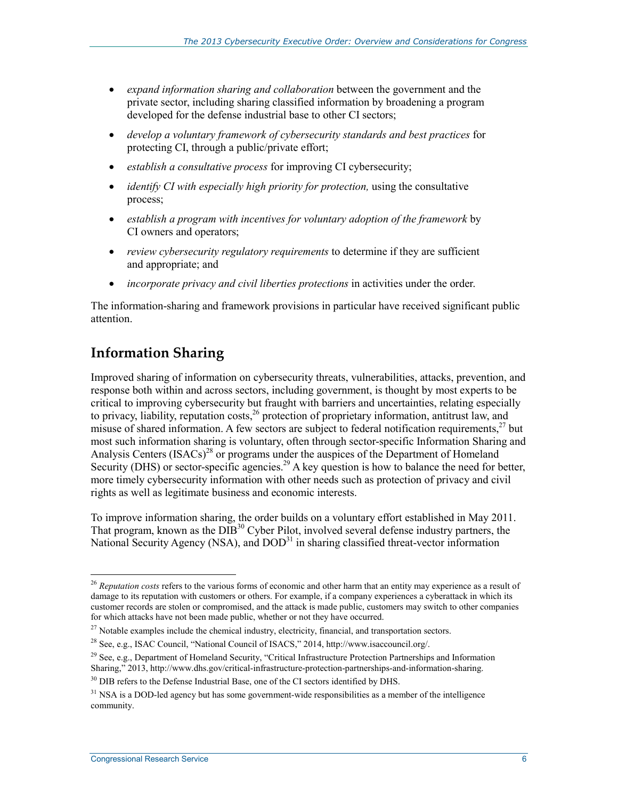- *expand information sharing and collaboration* between the government and the private sector, including sharing classified information by broadening a program developed for the defense industrial base to other CI sectors;
- *develop a voluntary framework of cybersecurity standards and best practices* for protecting CI, through a public/private effort;
- *establish a consultative process* for improving CI cybersecurity;
- *identify CI with especially high priority for protection,* using the consultative process;
- *establish a program with incentives for voluntary adoption of the framework* by CI owners and operators;
- *review cybersecurity regulatory requirements* to determine if they are sufficient and appropriate; and
- *incorporate privacy and civil liberties protections* in activities under the order.

The information-sharing and framework provisions in particular have received significant public attention.

### **Information Sharing**

Improved sharing of information on cybersecurity threats, vulnerabilities, attacks, prevention, and response both within and across sectors, including government, is thought by most experts to be critical to improving cybersecurity but fraught with barriers and uncertainties, relating especially to privacy, liability, reputation costs,<sup>26</sup> protection of proprietary information, antitrust law, and misuse of shared information. A few sectors are subject to federal notification requirements,  $27$  but most such information sharing is voluntary, often through sector-specific Information Sharing and Analysis Centers (ISACs)<sup>28</sup> or programs under the auspices of the Department of Homeland Security (DHS) or sector-specific agencies.<sup>29</sup> A key question is how to balance the need for better, more timely cybersecurity information with other needs such as protection of privacy and civil rights as well as legitimate business and economic interests.

To improve information sharing, the order builds on a voluntary effort established in May 2011. That program, known as the DIB<sup>30</sup> Cyber Pilot, involved several defense industry partners, the National Security Agency (NSA), and DOD<sup>31</sup> in sharing classified threat-vector information

<u>.</u>

<sup>26</sup> *Reputation costs* refers to the various forms of economic and other harm that an entity may experience as a result of damage to its reputation with customers or others. For example, if a company experiences a cyberattack in which its customer records are stolen or compromised, and the attack is made public, customers may switch to other companies for which attacks have not been made public, whether or not they have occurred.

<sup>&</sup>lt;sup>27</sup> Notable examples include the chemical industry, electricity, financial, and transportation sectors.

<sup>28</sup> See, e.g., ISAC Council, "National Council of ISACS," 2014, http://www.isaccouncil.org/.

 $29$  See, e.g., Department of Homeland Security, "Critical Infrastructure Protection Partnerships and Information Sharing," 2013, http://www.dhs.gov/critical-infrastructure-protection-partnerships-and-information-sharing.

<sup>&</sup>lt;sup>30</sup> DIB refers to the Defense Industrial Base, one of the CI sectors identified by DHS.

 $31$  NSA is a DOD-led agency but has some government-wide responsibilities as a member of the intelligence community.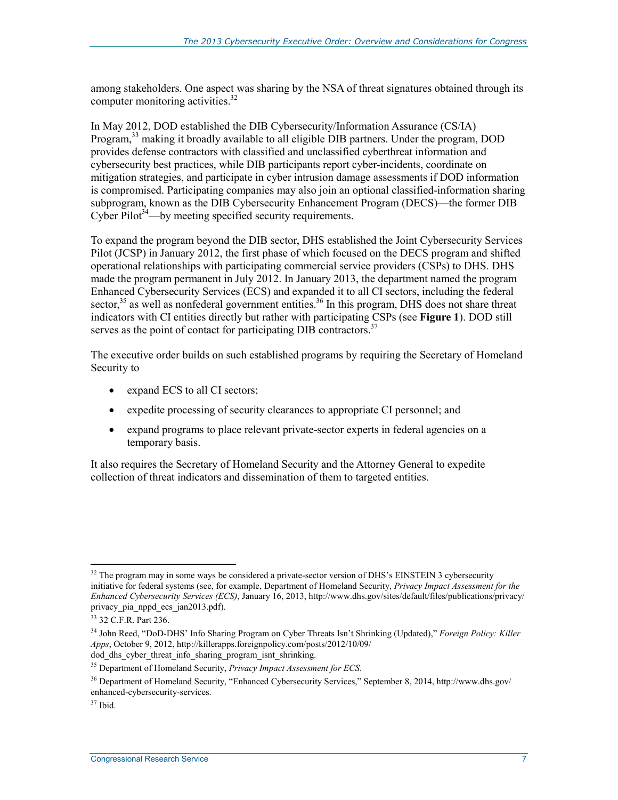among stakeholders. One aspect was sharing by the NSA of threat signatures obtained through its computer monitoring activities.<sup>32</sup>

In May 2012, DOD established the DIB Cybersecurity/Information Assurance (CS/IA) Program,<sup>33</sup> making it broadly available to all eligible DIB partners. Under the program, DOD provides defense contractors with classified and unclassified cyberthreat information and cybersecurity best practices, while DIB participants report cyber-incidents, coordinate on mitigation strategies, and participate in cyber intrusion damage assessments if DOD information is compromised. Participating companies may also join an optional classified-information sharing subprogram, known as the DIB Cybersecurity Enhancement Program (DECS)—the former DIB Cyber Pilot<sup>34</sup>—by meeting specified security requirements.

To expand the program beyond the DIB sector, DHS established the Joint Cybersecurity Services Pilot (JCSP) in January 2012, the first phase of which focused on the DECS program and shifted operational relationships with participating commercial service providers (CSPs) to DHS. DHS made the program permanent in July 2012. In January 2013, the department named the program Enhanced Cybersecurity Services (ECS) and expanded it to all CI sectors, including the federal sector,<sup>35</sup> as well as nonfederal government entities.<sup>36</sup> In this program, DHS does not share threat indicators with CI entities directly but rather with participating CSPs (see **Figure 1**). DOD still serves as the point of contact for participating DIB contractors.<sup>37</sup>

The executive order builds on such established programs by requiring the Secretary of Homeland Security to

- expand ECS to all CI sectors;
- expedite processing of security clearances to appropriate CI personnel; and
- expand programs to place relevant private-sector experts in federal agencies on a temporary basis.

It also requires the Secretary of Homeland Security and the Attorney General to expedite collection of threat indicators and dissemination of them to targeted entities.

 $32$  The program may in some ways be considered a private-sector version of DHS's EINSTEIN 3 cybersecurity initiative for federal systems (see, for example, Department of Homeland Security, *Privacy Impact Assessment for the Enhanced Cybersecurity Services (ECS)*, January 16, 2013, http://www.dhs.gov/sites/default/files/publications/privacy/ privacy\_pia\_nppd\_ecs\_jan2013.pdf).

<sup>33 32</sup> C.F.R. Part 236.

<sup>34</sup> John Reed, "DoD-DHS' Info Sharing Program on Cyber Threats Isn't Shrinking (Updated)," *Foreign Policy: Killer Apps*, October 9, 2012, http://killerapps.foreignpolicy.com/posts/2012/10/09/ dod dhs cyber threat info\_sharing\_program\_isnt\_shrinking.

<sup>35</sup> Department of Homeland Security, *Privacy Impact Assessment for ECS*.

<sup>36</sup> Department of Homeland Security, "Enhanced Cybersecurity Services," September 8, 2014, http://www.dhs.gov/ enhanced-cybersecurity-services.

 $37$  Ibid.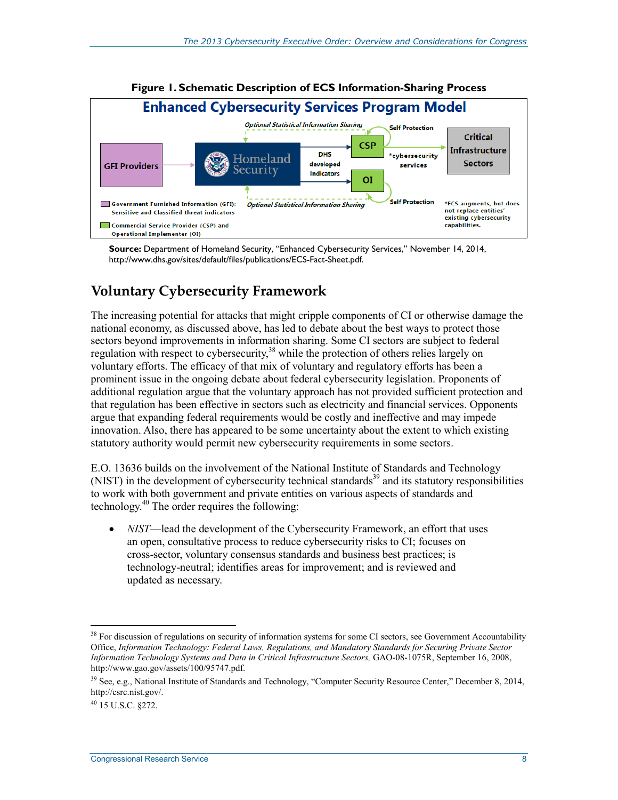

**Source:** Department of Homeland Security, "Enhanced Cybersecurity Services," November 14, 2014, http://www.dhs.gov/sites/default/files/publications/ECS-Fact-Sheet.pdf.

### **Voluntary Cybersecurity Framework**

The increasing potential for attacks that might cripple components of CI or otherwise damage the national economy, as discussed above, has led to debate about the best ways to protect those sectors beyond improvements in information sharing. Some CI sectors are subject to federal regulation with respect to cybersecurity,<sup>38</sup> while the protection of others relies largely on voluntary efforts. The efficacy of that mix of voluntary and regulatory efforts has been a prominent issue in the ongoing debate about federal cybersecurity legislation. Proponents of additional regulation argue that the voluntary approach has not provided sufficient protection and that regulation has been effective in sectors such as electricity and financial services. Opponents argue that expanding federal requirements would be costly and ineffective and may impede innovation. Also, there has appeared to be some uncertainty about the extent to which existing statutory authority would permit new cybersecurity requirements in some sectors.

E.O. 13636 builds on the involvement of the National Institute of Standards and Technology (NIST) in the development of cybersecurity technical standards<sup>39</sup> and its statutory responsibilities to work with both government and private entities on various aspects of standards and technology.40 The order requires the following:

• *NIST*—lead the development of the Cybersecurity Framework, an effort that uses an open, consultative process to reduce cybersecurity risks to CI; focuses on cross-sector, voluntary consensus standards and business best practices; is technology-neutral; identifies areas for improvement; and is reviewed and updated as necessary.

 $38$  For discussion of regulations on security of information systems for some CI sectors, see Government Accountability Office, *Information Technology: Federal Laws, Regulations, and Mandatory Standards for Securing Private Sector Information Technology Systems and Data in Critical Infrastructure Sectors,* GAO-08-1075R, September 16, 2008, http://www.gao.gov/assets/100/95747.pdf.

<sup>39</sup> See, e.g., National Institute of Standards and Technology, "Computer Security Resource Center," December 8, 2014, http://csrc.nist.gov/.

 $^{40}$  15 U.S.C. 8272.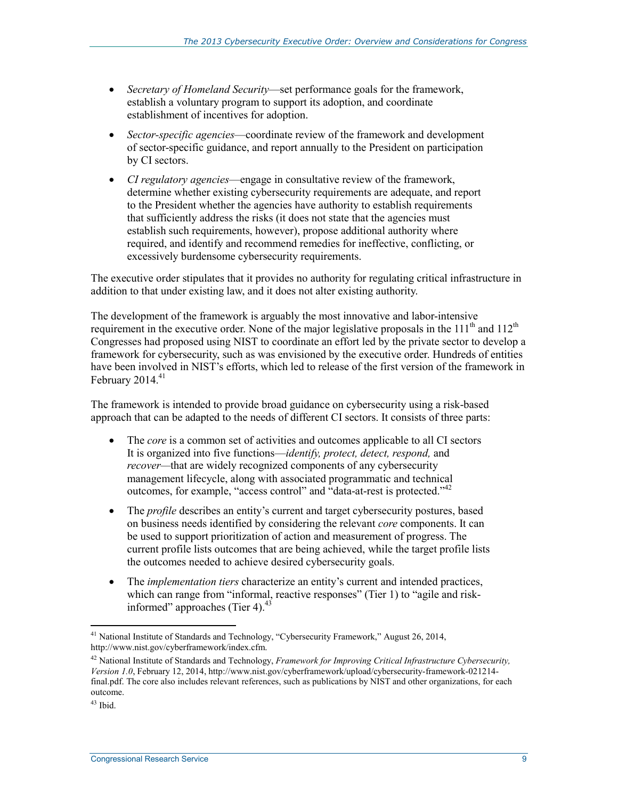- *Secretary of Homeland Security*—set performance goals for the framework, establish a voluntary program to support its adoption, and coordinate establishment of incentives for adoption.
- *Sector-specific agencies*—coordinate review of the framework and development of sector-specific guidance, and report annually to the President on participation by CI sectors.
- *CI regulatory agencies*—engage in consultative review of the framework, determine whether existing cybersecurity requirements are adequate, and report to the President whether the agencies have authority to establish requirements that sufficiently address the risks (it does not state that the agencies must establish such requirements, however), propose additional authority where required, and identify and recommend remedies for ineffective, conflicting, or excessively burdensome cybersecurity requirements.

The executive order stipulates that it provides no authority for regulating critical infrastructure in addition to that under existing law, and it does not alter existing authority.

The development of the framework is arguably the most innovative and labor-intensive requirement in the executive order. None of the major legislative proposals in the 111<sup>th</sup> and 112<sup>th</sup> Congresses had proposed using NIST to coordinate an effort led by the private sector to develop a framework for cybersecurity, such as was envisioned by the executive order. Hundreds of entities have been involved in NIST's efforts, which led to release of the first version of the framework in February  $2014.<sup>41</sup>$ 

The framework is intended to provide broad guidance on cybersecurity using a risk-based approach that can be adapted to the needs of different CI sectors. It consists of three parts:

- The *core* is a common set of activities and outcomes applicable to all CI sectors It is organized into five functions—*identify, protect, detect, respond,* and *recover—*that are widely recognized components of any cybersecurity management lifecycle, along with associated programmatic and technical outcomes, for example, "access control" and "data-at-rest is protected."<sup>42</sup>
- The *profile* describes an entity's current and target cybersecurity postures, based on business needs identified by considering the relevant *core* components. It can be used to support prioritization of action and measurement of progress. The current profile lists outcomes that are being achieved, while the target profile lists the outcomes needed to achieve desired cybersecurity goals.
- The *implementation tiers* characterize an entity's current and intended practices, which can range from "informal, reactive responses" (Tier 1) to "agile and riskinformed" approaches (Tier 4). $43$

<sup>&</sup>lt;sup>41</sup> National Institute of Standards and Technology, "Cybersecurity Framework," August 26, 2014, http://www.nist.gov/cyberframework/index.cfm.

<sup>42</sup> National Institute of Standards and Technology, *Framework for Improving Critical Infrastructure Cybersecurity, Version 1.0*, February 12, 2014, http://www.nist.gov/cyberframework/upload/cybersecurity-framework-021214 final.pdf. The core also includes relevant references, such as publications by NIST and other organizations, for each outcome.

 $43$  Ibid.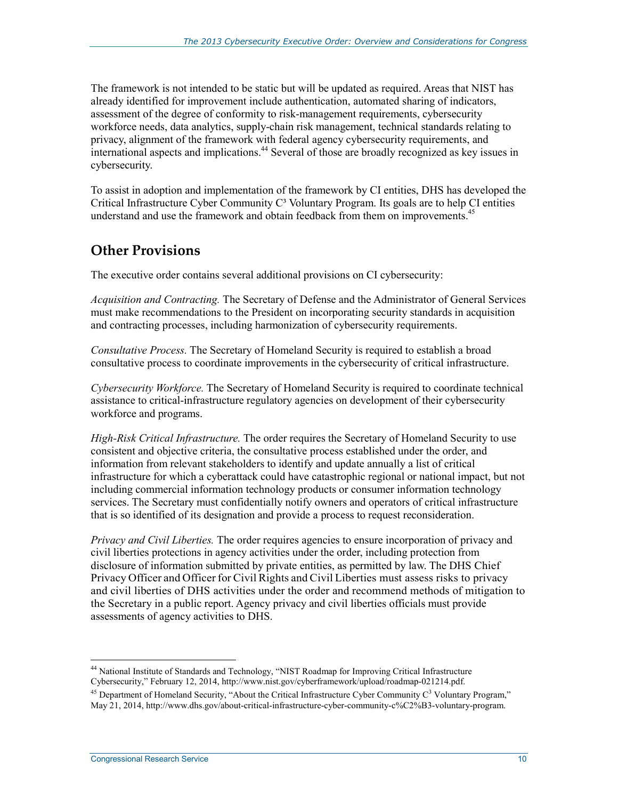The framework is not intended to be static but will be updated as required. Areas that NIST has already identified for improvement include authentication, automated sharing of indicators, assessment of the degree of conformity to risk-management requirements, cybersecurity workforce needs, data analytics, supply-chain risk management, technical standards relating to privacy, alignment of the framework with federal agency cybersecurity requirements, and international aspects and implications.<sup>44</sup> Several of those are broadly recognized as key issues in cybersecurity.

To assist in adoption and implementation of the framework by CI entities, DHS has developed the Critical Infrastructure Cyber Community C<sup>3</sup> Voluntary Program. Its goals are to help CI entities understand and use the framework and obtain feedback from them on improvements.<sup>45</sup>

### **Other Provisions**

The executive order contains several additional provisions on CI cybersecurity:

*Acquisition and Contracting.* The Secretary of Defense and the Administrator of General Services must make recommendations to the President on incorporating security standards in acquisition and contracting processes, including harmonization of cybersecurity requirements.

*Consultative Process.* The Secretary of Homeland Security is required to establish a broad consultative process to coordinate improvements in the cybersecurity of critical infrastructure.

*Cybersecurity Workforce.* The Secretary of Homeland Security is required to coordinate technical assistance to critical-infrastructure regulatory agencies on development of their cybersecurity workforce and programs.

*High-Risk Critical Infrastructure.* The order requires the Secretary of Homeland Security to use consistent and objective criteria, the consultative process established under the order, and information from relevant stakeholders to identify and update annually a list of critical infrastructure for which a cyberattack could have catastrophic regional or national impact, but not including commercial information technology products or consumer information technology services. The Secretary must confidentially notify owners and operators of critical infrastructure that is so identified of its designation and provide a process to request reconsideration.

*Privacy and Civil Liberties.* The order requires agencies to ensure incorporation of privacy and civil liberties protections in agency activities under the order, including protection from disclosure of information submitted by private entities, as permitted by law. The DHS Chief Privacy Officer and Officer for Civil Rights and Civil Liberties must assess risks to privacy and civil liberties of DHS activities under the order and recommend methods of mitigation to the Secretary in a public report. Agency privacy and civil liberties officials must provide assessments of agency activities to DHS.

1 44 National Institute of Standards and Technology, "NIST Roadmap for Improving Critical Infrastructure Cybersecurity," February 12, 2014, http://www.nist.gov/cyberframework/upload/roadmap-021214.pdf.

<sup>&</sup>lt;sup>45</sup> Department of Homeland Security, "About the Critical Infrastructure Cyber Community  $C<sup>3</sup>$  Voluntary Program," May 21, 2014, http://www.dhs.gov/about-critical-infrastructure-cyber-community-c%C2%B3-voluntary-program.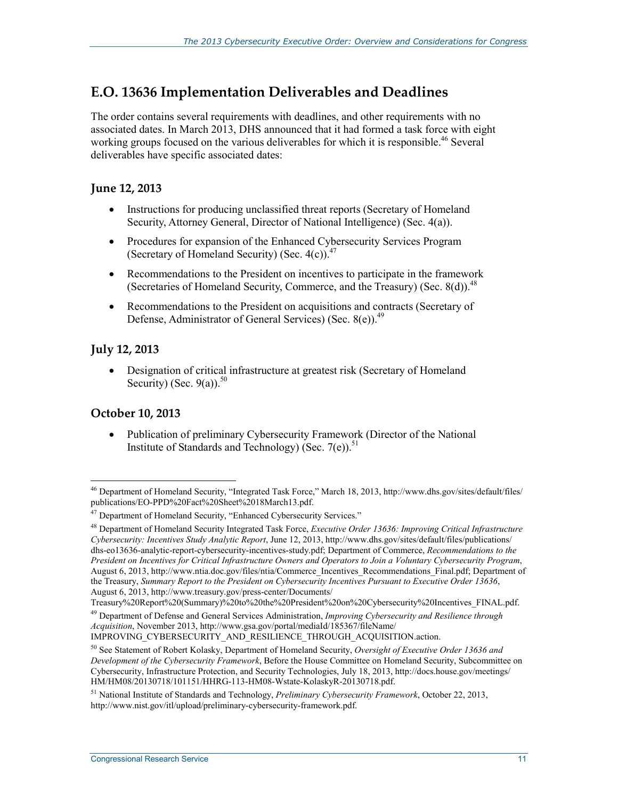### **E.O. 13636 Implementation Deliverables and Deadlines**

The order contains several requirements with deadlines, and other requirements with no associated dates. In March 2013, DHS announced that it had formed a task force with eight working groups focused on the various deliverables for which it is responsible.<sup>46</sup> Several deliverables have specific associated dates:

#### **June 12, 2013**

- Instructions for producing unclassified threat reports (Secretary of Homeland Security, Attorney General, Director of National Intelligence) (Sec. 4(a)).
- Procedures for expansion of the Enhanced Cybersecurity Services Program (Secretary of Homeland Security) (Sec.  $4(c)$ ).<sup>47</sup>
- Recommendations to the President on incentives to participate in the framework (Secretaries of Homeland Security, Commerce, and the Treasury) (Sec. 8(d)).<sup>48</sup>
- Recommendations to the President on acquisitions and contracts (Secretary of Defense, Administrator of General Services) (Sec. 8(e)).<sup>49</sup>

#### **July 12, 2013**

• Designation of critical infrastructure at greatest risk (Secretary of Homeland Security) (Sec. 9(a)). $50$ 

#### **October 10, 2013**

• Publication of preliminary Cybersecurity Framework (Director of the National Institute of Standards and Technology) (Sec. 7(e)).<sup>51</sup>

<sup>1</sup> 46 Department of Homeland Security, "Integrated Task Force," March 18, 2013, http://www.dhs.gov/sites/default/files/ publications/EO-PPD%20Fact%20Sheet%2018March13.pdf.

<sup>&</sup>lt;sup>47</sup> Department of Homeland Security, "Enhanced Cybersecurity Services."

<sup>48</sup> Department of Homeland Security Integrated Task Force, *Executive Order 13636: Improving Critical Infrastructure Cybersecurity: Incentives Study Analytic Report*, June 12, 2013, http://www.dhs.gov/sites/default/files/publications/ dhs-eo13636-analytic-report-cybersecurity-incentives-study.pdf; Department of Commerce, *Recommendations to the President on Incentives for Critical Infrastructure Owners and Operators to Join a Voluntary Cybersecurity Program*, August 6, 2013, http://www.ntia.doc.gov/files/ntia/Commerce\_Incentives\_Recommendations\_Final.pdf; Department of the Treasury, *Summary Report to the President on Cybersecurity Incentives Pursuant to Executive Order 13636*, August 6, 2013, http://www.treasury.gov/press-center/Documents/

Treasury%20Report%20(Summary)%20to%20the%20President%20on%20Cybersecurity%20Incentives\_FINAL.pdf.

<sup>49</sup> Department of Defense and General Services Administration, *Improving Cybersecurity and Resilience through Acquisition*, November 2013, http://www.gsa.gov/portal/mediaId/185367/fileName/

IMPROVING\_CYBERSECURITY\_AND\_RESILIENCE\_THROUGH\_ACQUISITION.action.

<sup>50</sup> See Statement of Robert Kolasky, Department of Homeland Security, *Oversight of Executive Order 13636 and Development of the Cybersecurity Framework*, Before the House Committee on Homeland Security, Subcommittee on Cybersecurity, Infrastructure Protection, and Security Technologies, July 18, 2013, http://docs.house.gov/meetings/ HM/HM08/20130718/101151/HHRG-113-HM08-Wstate-KolaskyR-20130718.pdf.

<sup>51</sup> National Institute of Standards and Technology, *Preliminary Cybersecurity Framework*, October 22, 2013, http://www.nist.gov/itl/upload/preliminary-cybersecurity-framework.pdf.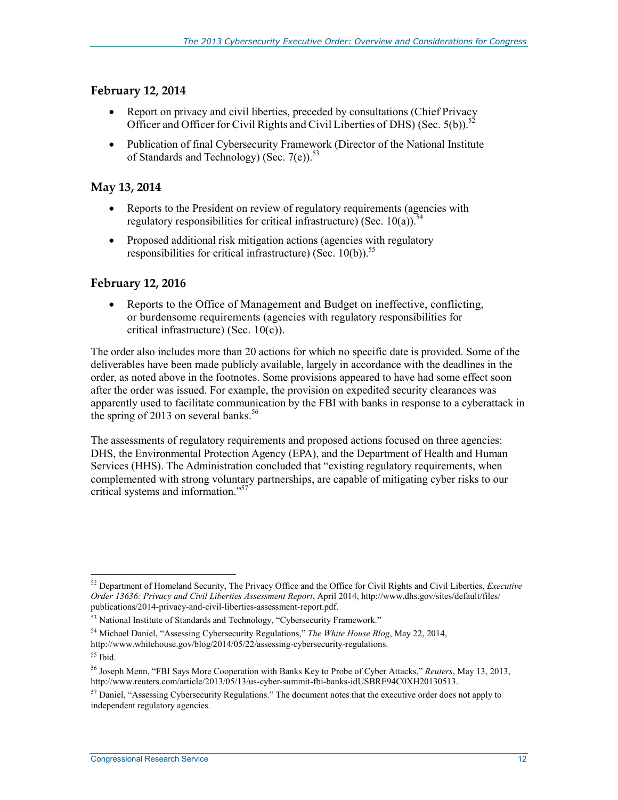#### **February 12, 2014**

- Report on privacy and civil liberties, preceded by consultations (Chief Privacy Officer and Officer for Civil Rights and Civil Liberties of DHS) (Sec. 5(b)).<sup>52</sup>
- Publication of final Cybersecurity Framework (Director of the National Institute of Standards and Technology) (Sec.  $7(e)$ )<sup>53</sup>

#### **May 13, 2014**

- Reports to the President on review of regulatory requirements (agencies with regulatory responsibilities for critical infrastructure) (Sec.  $10(a)$ ).<sup>54</sup>
- Proposed additional risk mitigation actions (agencies with regulatory responsibilities for critical infrastructure) (Sec.  $10(b)$ ).<sup>55</sup>

#### **February 12, 2016**

• Reports to the Office of Management and Budget on ineffective, conflicting, or burdensome requirements (agencies with regulatory responsibilities for critical infrastructure) (Sec. 10(c)).

The order also includes more than 20 actions for which no specific date is provided. Some of the deliverables have been made publicly available, largely in accordance with the deadlines in the order, as noted above in the footnotes. Some provisions appeared to have had some effect soon after the order was issued. For example, the provision on expedited security clearances was apparently used to facilitate communication by the FBI with banks in response to a cyberattack in the spring of 2013 on several banks.<sup>56</sup>

The assessments of regulatory requirements and proposed actions focused on three agencies: DHS, the Environmental Protection Agency (EPA), and the Department of Health and Human Services (HHS). The Administration concluded that "existing regulatory requirements, when complemented with strong voluntary partnerships, are capable of mitigating cyber risks to our critical systems and information."57

54 Michael Daniel, "Assessing Cybersecurity Regulations," *The White House Blog*, May 22, 2014, http://www.whitehouse.gov/blog/2014/05/22/assessing-cybersecurity-regulations.

<sup>&</sup>lt;u>.</u> 52 Department of Homeland Security, The Privacy Office and the Office for Civil Rights and Civil Liberties, *Executive Order 13636: Privacy and Civil Liberties Assessment Report*, April 2014, http://www.dhs.gov/sites/default/files/ publications/2014-privacy-and-civil-liberties-assessment-report.pdf.

<sup>&</sup>lt;sup>53</sup> National Institute of Standards and Technology, "Cybersecurity Framework."

<sup>55</sup> Ibid.

<sup>56</sup> Joseph Menn, "FBI Says More Cooperation with Banks Key to Probe of Cyber Attacks," *Reuters*, May 13, 2013, http://www.reuters.com/article/2013/05/13/us-cyber-summit-fbi-banks-idUSBRE94C0XH20130513.

 $<sup>57</sup>$  Daniel, "Assessing Cybersecurity Regulations." The document notes that the executive order does not apply to</sup> independent regulatory agencies.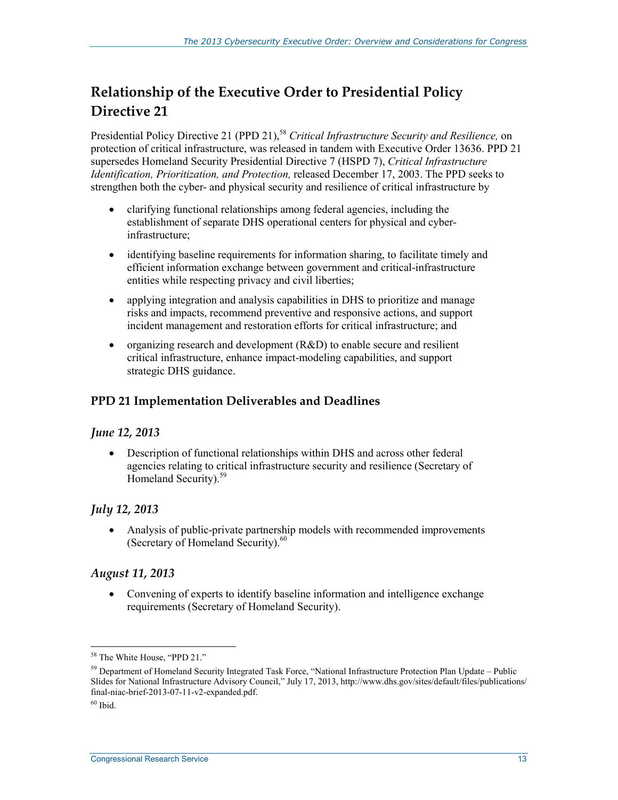### **Relationship of the Executive Order to Presidential Policy Directive 21**

Presidential Policy Directive 21 (PPD 21),<sup>58</sup> *Critical Infrastructure Security and Resilience*, on protection of critical infrastructure, was released in tandem with Executive Order 13636. PPD 21 supersedes Homeland Security Presidential Directive 7 (HSPD 7), *Critical Infrastructure Identification, Prioritization, and Protection,* released December 17, 2003. The PPD seeks to strengthen both the cyber- and physical security and resilience of critical infrastructure by

- clarifying functional relationships among federal agencies, including the establishment of separate DHS operational centers for physical and cyberinfrastructure;
- identifying baseline requirements for information sharing, to facilitate timely and efficient information exchange between government and critical-infrastructure entities while respecting privacy and civil liberties;
- applying integration and analysis capabilities in DHS to prioritize and manage risks and impacts, recommend preventive and responsive actions, and support incident management and restoration efforts for critical infrastructure; and
- organizing research and development (R&D) to enable secure and resilient critical infrastructure, enhance impact-modeling capabilities, and support strategic DHS guidance.

#### **PPD 21 Implementation Deliverables and Deadlines**

#### *June 12, 2013*

• Description of functional relationships within DHS and across other federal agencies relating to critical infrastructure security and resilience (Secretary of Homeland Security).<sup>59</sup>

#### *July 12, 2013*

• Analysis of public-private partnership models with recommended improvements (Secretary of Homeland Security).<sup>60</sup>

#### *August 11, 2013*

• Convening of experts to identify baseline information and intelligence exchange requirements (Secretary of Homeland Security).

<sup>58</sup> The White House, "PPD 21."

<sup>&</sup>lt;sup>59</sup> Department of Homeland Security Integrated Task Force, "National Infrastructure Protection Plan Update – Public Slides for National Infrastructure Advisory Council," July 17, 2013, http://www.dhs.gov/sites/default/files/publications/ final-niac-brief-2013-07-11-v2-expanded.pdf.

 $60$  Ibid.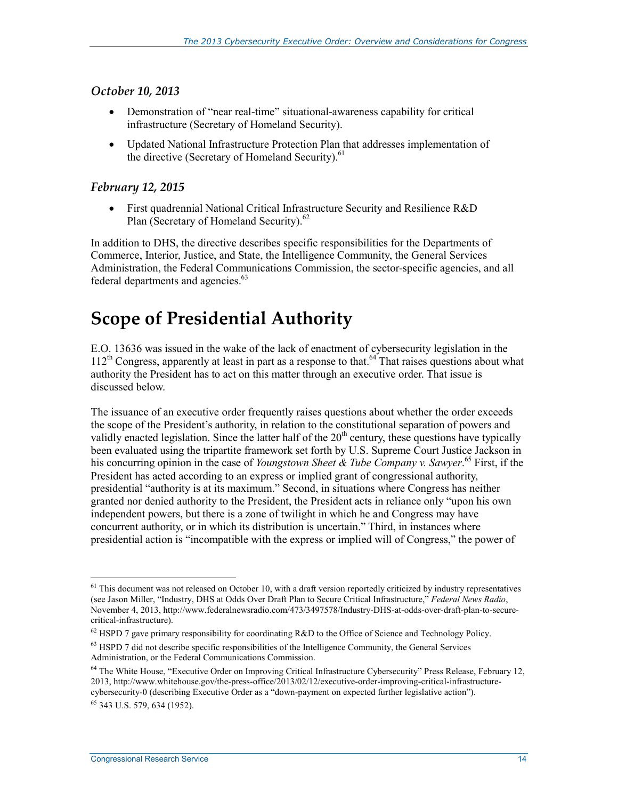#### *October 10, 2013*

- Demonstration of "near real-time" situational-awareness capability for critical infrastructure (Secretary of Homeland Security).
- Updated National Infrastructure Protection Plan that addresses implementation of the directive (Secretary of Homeland Security).<sup>61</sup>

#### *February 12, 2015*

• First quadrennial National Critical Infrastructure Security and Resilience R&D Plan (Secretary of Homeland Security).<sup>62</sup>

In addition to DHS, the directive describes specific responsibilities for the Departments of Commerce, Interior, Justice, and State, the Intelligence Community, the General Services Administration, the Federal Communications Commission, the sector-specific agencies, and all federal departments and agencies.<sup>63</sup>

# **Scope of Presidential Authority**

E.O. 13636 was issued in the wake of the lack of enactment of cybersecurity legislation in the  $112<sup>th</sup>$  Congress, apparently at least in part as a response to that.<sup>64</sup> That raises questions about what authority the President has to act on this matter through an executive order. That issue is discussed below.

The issuance of an executive order frequently raises questions about whether the order exceeds the scope of the President's authority, in relation to the constitutional separation of powers and validly enacted legislation. Since the latter half of the 20<sup>th</sup> century, these questions have typically been evaluated using the tripartite framework set forth by U.S. Supreme Court Justice Jackson in his concurring opinion in the case of *Youngstown Sheet & Tube Company v. Sawyer*. 65 First, if the President has acted according to an express or implied grant of congressional authority, presidential "authority is at its maximum." Second, in situations where Congress has neither granted nor denied authority to the President, the President acts in reliance only "upon his own independent powers, but there is a zone of twilight in which he and Congress may have concurrent authority, or in which its distribution is uncertain." Third, in instances where presidential action is "incompatible with the express or implied will of Congress," the power of

<sup>&</sup>lt;u>.</u>  $<sup>61</sup>$  This document was not released on October 10, with a draft version reportedly criticized by industry representatives</sup> (see Jason Miller, "Industry, DHS at Odds Over Draft Plan to Secure Critical Infrastructure," *Federal News Radio*, November 4, 2013, http://www.federalnewsradio.com/473/3497578/Industry-DHS-at-odds-over-draft-plan-to-securecritical-infrastructure).

 $62$  HSPD 7 gave primary responsibility for coordinating R&D to the Office of Science and Technology Policy.

<sup>63</sup> HSPD 7 did not describe specific responsibilities of the Intelligence Community, the General Services Administration, or the Federal Communications Commission.

<sup>&</sup>lt;sup>64</sup> The White House, "Executive Order on Improving Critical Infrastructure Cybersecurity" Press Release, February 12, 2013, http://www.whitehouse.gov/the-press-office/2013/02/12/executive-order-improving-critical-infrastructurecybersecurity-0 (describing Executive Order as a "down-payment on expected further legislative action").

<sup>65 343</sup> U.S. 579, 634 (1952).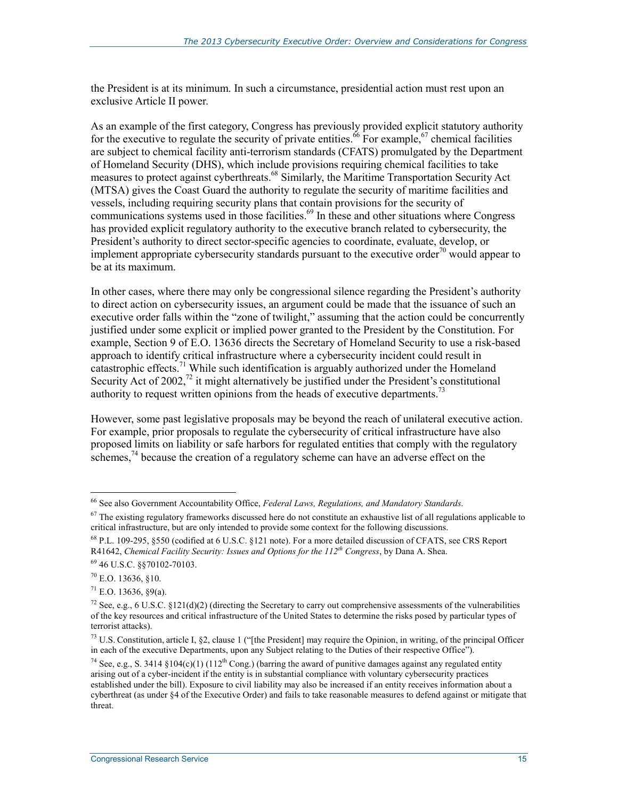the President is at its minimum. In such a circumstance, presidential action must rest upon an exclusive Article II power.

As an example of the first category, Congress has previously provided explicit statutory authority for the executive to regulate the security of private entities.<sup>66</sup> For example,<sup>67</sup> chemical facilities are subject to chemical facility anti-terrorism standards (CFATS) promulgated by the Department of Homeland Security (DHS), which include provisions requiring chemical facilities to take measures to protect against cyberthreats.<sup>68</sup> Similarly, the Maritime Transportation Security Act (MTSA) gives the Coast Guard the authority to regulate the security of maritime facilities and vessels, including requiring security plans that contain provisions for the security of communications systems used in those facilities.<sup>69</sup> In these and other situations where Congress has provided explicit regulatory authority to the executive branch related to cybersecurity, the President's authority to direct sector-specific agencies to coordinate, evaluate, develop, or implement appropriate cybersecurity standards pursuant to the executive order<sup>70</sup> would appear to be at its maximum.

In other cases, where there may only be congressional silence regarding the President's authority to direct action on cybersecurity issues, an argument could be made that the issuance of such an executive order falls within the "zone of twilight," assuming that the action could be concurrently justified under some explicit or implied power granted to the President by the Constitution. For example, Section 9 of E.O. 13636 directs the Secretary of Homeland Security to use a risk-based approach to identify critical infrastructure where a cybersecurity incident could result in catastrophic effects.71 While such identification is arguably authorized under the Homeland Security Act of 2002,<sup>72</sup> it might alternatively be justified under the President's constitutional authority to request written opinions from the heads of executive departments.<sup>73</sup>

However, some past legislative proposals may be beyond the reach of unilateral executive action. For example, prior proposals to regulate the cybersecurity of critical infrastructure have also proposed limits on liability or safe harbors for regulated entities that comply with the regulatory schemes,  $^{74}$  because the creation of a regulatory scheme can have an adverse effect on the

<sup>66</sup> See also Government Accountability Office, *Federal Laws, Regulations, and Mandatory Standards*.

 $67$  The existing regulatory frameworks discussed here do not constitute an exhaustive list of all regulations applicable to critical infrastructure, but are only intended to provide some context for the following discussions.

<sup>68</sup> P.L. 109-295, §550 (codified at 6 U.S.C. §121 note). For a more detailed discussion of CFATS, see CRS Report R41642, *Chemical Facility Security: Issues and Options for the 112th Congress*, by Dana A. Shea.

<sup>69 46</sup> U.S.C. §§70102-70103.

 $70$  E.O. 13636, §10.

 $71$  E.O. 13636, 89(a).

<sup>&</sup>lt;sup>72</sup> See, e.g., 6 U.S.C. §121(d)(2) (directing the Secretary to carry out comprehensive assessments of the vulnerabilities of the key resources and critical infrastructure of the United States to determine the risks posed by particular types of terrorist attacks).

 $^{73}$  U.S. Constitution, article I, §2, clause 1 ("[the President] may require the Opinion, in writing, of the principal Officer in each of the executive Departments, upon any Subject relating to the Duties of their respective Office").

<sup>&</sup>lt;sup>74</sup> See, e.g., S. 3414 §104(c)(1) (112<sup>th</sup> Cong.) (barring the award of punitive damages against any regulated entity arising out of a cyber-incident if the entity is in substantial compliance with voluntary cybersecurity practices established under the bill). Exposure to civil liability may also be increased if an entity receives information about a cyberthreat (as under §4 of the Executive Order) and fails to take reasonable measures to defend against or mitigate that threat.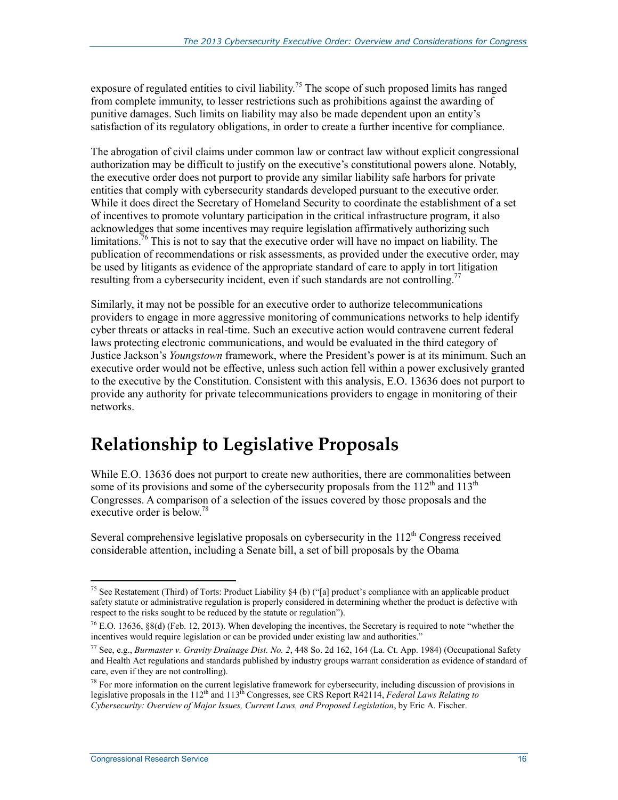exposure of regulated entities to civil liability.<sup>75</sup> The scope of such proposed limits has ranged from complete immunity, to lesser restrictions such as prohibitions against the awarding of punitive damages. Such limits on liability may also be made dependent upon an entity's satisfaction of its regulatory obligations, in order to create a further incentive for compliance.

The abrogation of civil claims under common law or contract law without explicit congressional authorization may be difficult to justify on the executive's constitutional powers alone. Notably, the executive order does not purport to provide any similar liability safe harbors for private entities that comply with cybersecurity standards developed pursuant to the executive order. While it does direct the Secretary of Homeland Security to coordinate the establishment of a set of incentives to promote voluntary participation in the critical infrastructure program, it also acknowledges that some incentives may require legislation affirmatively authorizing such limitations.  $\frac{7}{6}$  This is not to say that the executive order will have no impact on liability. The publication of recommendations or risk assessments, as provided under the executive order, may be used by litigants as evidence of the appropriate standard of care to apply in tort litigation resulting from a cybersecurity incident, even if such standards are not controlling.<sup>77</sup>

Similarly, it may not be possible for an executive order to authorize telecommunications providers to engage in more aggressive monitoring of communications networks to help identify cyber threats or attacks in real-time. Such an executive action would contravene current federal laws protecting electronic communications, and would be evaluated in the third category of Justice Jackson's *Youngstown* framework, where the President's power is at its minimum. Such an executive order would not be effective, unless such action fell within a power exclusively granted to the executive by the Constitution. Consistent with this analysis, E.O. 13636 does not purport to provide any authority for private telecommunications providers to engage in monitoring of their networks.

# **Relationship to Legislative Proposals**

While E.O. 13636 does not purport to create new authorities, there are commonalities between some of its provisions and some of the cybersecurity proposals from the  $112<sup>th</sup>$  and  $113<sup>th</sup>$ Congresses. A comparison of a selection of the issues covered by those proposals and the executive order is below.<sup>78</sup>

Several comprehensive legislative proposals on cybersecurity in the  $112<sup>th</sup>$  Congress received considerable attention, including a Senate bill, a set of bill proposals by the Obama

<sup>&</sup>lt;u>.</u> <sup>75</sup> See Restatement (Third) of Torts: Product Liability  $\S 4$  (b) ("[a] product's compliance with an applicable product safety statute or administrative regulation is properly considered in determining whether the product is defective with respect to the risks sought to be reduced by the statute or regulation").

<sup>76</sup> E.O. 13636, §8(d) (Feb. 12, 2013). When developing the incentives, the Secretary is required to note "whether the incentives would require legislation or can be provided under existing law and authorities.

<sup>77</sup> See, e.g., *Burmaster v. Gravity Drainage Dist. No. 2*, 448 So. 2d 162, 164 (La. Ct. App. 1984) (Occupational Safety and Health Act regulations and standards published by industry groups warrant consideration as evidence of standard of care, even if they are not controlling).

<sup>&</sup>lt;sup>78</sup> For more information on the current legislative framework for cybersecurity, including discussion of provisions in legislative proposals in the 112<sup>th</sup> and 113<sup>th</sup> Congresses, see CRS Report R42114, *Federal Laws Relating to Cybersecurity: Overview of Major Issues, Current Laws, and Proposed Legislation*, by Eric A. Fischer.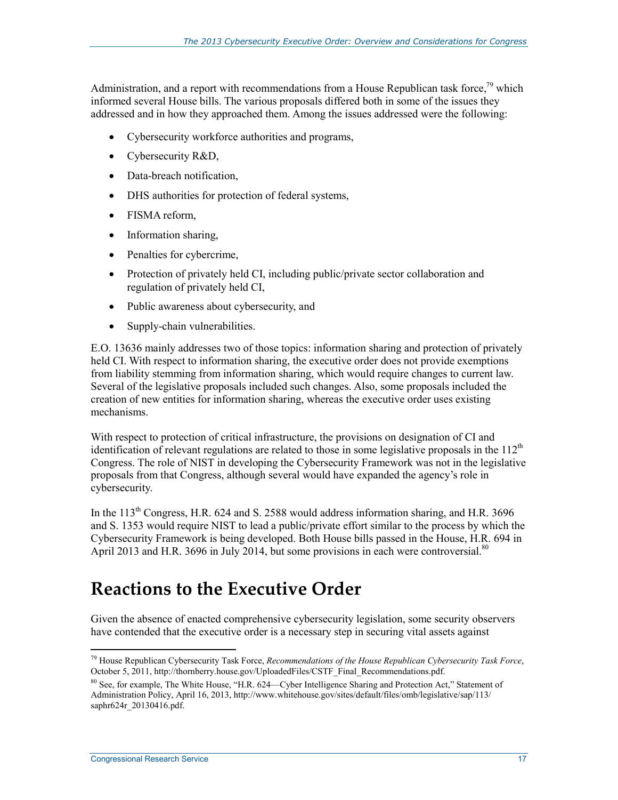Administration, and a report with recommendations from a House Republican task force,<sup>79</sup> which informed several House bills. The various proposals differed both in some of the issues they addressed and in how they approached them. Among the issues addressed were the following:

- Cybersecurity workforce authorities and programs,
- Cybersecurity R&D,
- Data-breach notification.
- DHS authorities for protection of federal systems,
- FISMA reform,
- Information sharing,
- Penalties for cybercrime,
- Protection of privately held CI, including public/private sector collaboration and regulation of privately held CI,
- Public awareness about cybersecurity, and
- Supply-chain vulnerabilities.

E.O. 13636 mainly addresses two of those topics: information sharing and protection of privately held CI. With respect to information sharing, the executive order does not provide exemptions from liability stemming from information sharing, which would require changes to current law. Several of the legislative proposals included such changes. Also, some proposals included the creation of new entities for information sharing, whereas the executive order uses existing mechanisms.

With respect to protection of critical infrastructure, the provisions on designation of CI and identification of relevant regulations are related to those in some legislative proposals in the  $112<sup>th</sup>$ Congress. The role of NIST in developing the Cybersecurity Framework was not in the legislative proposals from that Congress, although several would have expanded the agency's role in cybersecurity.

In the  $113<sup>th</sup>$  Congress, H.R. 624 and S. 2588 would address information sharing, and H.R. 3696 and S. 1353 would require NIST to lead a public/private effort similar to the process by which the Cybersecurity Framework is being developed. Both House bills passed in the House, H.R. 694 in April 2013 and H.R. 3696 in July 2014, but some provisions in each were controversial.<sup>80</sup>

# **Reactions to the Executive Order**

Given the absence of enacted comprehensive cybersecurity legislation, some security observers have contended that the executive order is a necessary step in securing vital assets against

<sup>1</sup> 79 House Republican Cybersecurity Task Force, *Recommendations of the House Republican Cybersecurity Task Force*, October 5, 2011, http://thornberry.house.gov/UploadedFiles/CSTF\_Final\_Recommendations.pdf.

<sup>80</sup> See, for example, The White House, "H.R. 624—Cyber Intelligence Sharing and Protection Act," Statement of Administration Policy, April 16, 2013, http://www.whitehouse.gov/sites/default/files/omb/legislative/sap/113/ saphr624r\_20130416.pdf.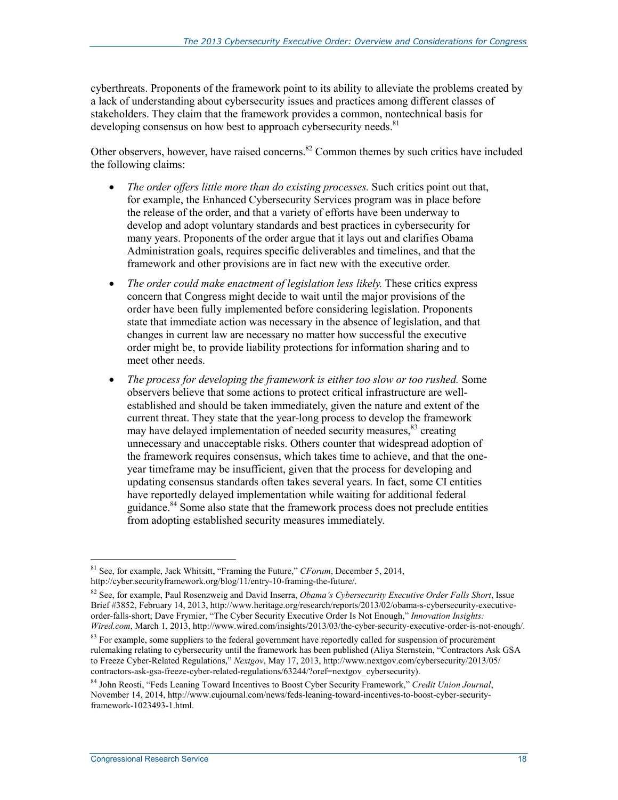cyberthreats. Proponents of the framework point to its ability to alleviate the problems created by a lack of understanding about cybersecurity issues and practices among different classes of stakeholders. They claim that the framework provides a common, nontechnical basis for developing consensus on how best to approach cybersecurity needs.<sup>81</sup>

Other observers, however, have raised concerns. $82$  Common themes by such critics have included the following claims:

- *The order offers little more than do existing processes.* Such critics point out that, for example, the Enhanced Cybersecurity Services program was in place before the release of the order, and that a variety of efforts have been underway to develop and adopt voluntary standards and best practices in cybersecurity for many years. Proponents of the order argue that it lays out and clarifies Obama Administration goals, requires specific deliverables and timelines, and that the framework and other provisions are in fact new with the executive order.
- *The order could make enactment of legislation less likely.* These critics express concern that Congress might decide to wait until the major provisions of the order have been fully implemented before considering legislation. Proponents state that immediate action was necessary in the absence of legislation, and that changes in current law are necessary no matter how successful the executive order might be, to provide liability protections for information sharing and to meet other needs.
- *The process for developing the framework is either too slow or too rushed.* Some observers believe that some actions to protect critical infrastructure are wellestablished and should be taken immediately, given the nature and extent of the current threat. They state that the year-long process to develop the framework may have delayed implementation of needed security measures,<sup>83</sup> creating unnecessary and unacceptable risks. Others counter that widespread adoption of the framework requires consensus, which takes time to achieve, and that the oneyear timeframe may be insufficient, given that the process for developing and updating consensus standards often takes several years. In fact, some CI entities have reportedly delayed implementation while waiting for additional federal guidance.<sup>84</sup> Some also state that the framework process does not preclude entities from adopting established security measures immediately.

<u>.</u>

<sup>81</sup> See, for example, Jack Whitsitt, "Framing the Future," *CForum*, December 5, 2014, http://cyber.securityframework.org/blog/11/entry-10-framing-the-future/.

<sup>82</sup> See, for example, Paul Rosenzweig and David Inserra, *Obama's Cybersecurity Executive Order Falls Short*, Issue Brief #3852, February 14, 2013, http://www.heritage.org/research/reports/2013/02/obama-s-cybersecurity-executiveorder-falls-short; Dave Frymier, "The Cyber Security Executive Order Is Not Enough," *Innovation Insights: Wired.com*, March 1, 2013, http://www.wired.com/insights/2013/03/the-cyber-security-executive-order-is-not-enough/.

<sup>&</sup>lt;sup>83</sup> For example, some suppliers to the federal government have reportedly called for suspension of procurement rulemaking relating to cybersecurity until the framework has been published (Aliya Sternstein, "Contractors Ask GSA to Freeze Cyber-Related Regulations," *Nextgov*, May 17, 2013, http://www.nextgov.com/cybersecurity/2013/05/ contractors-ask-gsa-freeze-cyber-related-regulations/63244/?oref=nextgov\_cybersecurity).

<sup>84</sup> John Reosti, "Feds Leaning Toward Incentives to Boost Cyber Security Framework," *Credit Union Journal*, November 14, 2014, http://www.cujournal.com/news/feds-leaning-toward-incentives-to-boost-cyber-securityframework-1023493-1.html.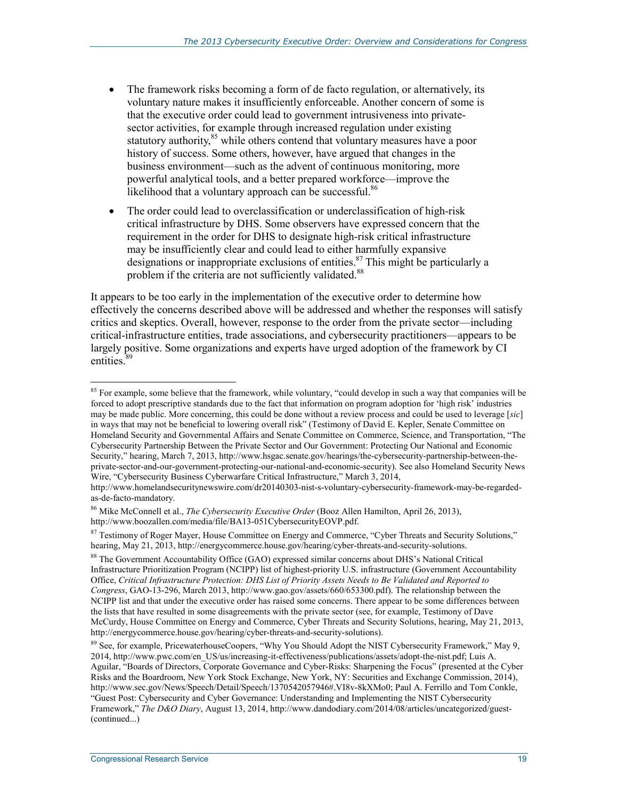- The framework risks becoming a form of de facto regulation, or alternatively, its voluntary nature makes it insufficiently enforceable. Another concern of some is that the executive order could lead to government intrusiveness into privatesector activities, for example through increased regulation under existing statutory authority,<sup>85</sup> while others contend that voluntary measures have a poor history of success. Some others, however, have argued that changes in the business environment—such as the advent of continuous monitoring, more powerful analytical tools, and a better prepared workforce—improve the likelihood that a voluntary approach can be successful.<sup>86</sup>
- The order could lead to overclassification or underclassification of high-risk critical infrastructure by DHS. Some observers have expressed concern that the requirement in the order for DHS to designate high-risk critical infrastructure may be insufficiently clear and could lead to either harmfully expansive designations or inappropriate exclusions of entities.<sup>87</sup> This might be particularly a problem if the criteria are not sufficiently validated.<sup>88</sup>

It appears to be too early in the implementation of the executive order to determine how effectively the concerns described above will be addressed and whether the responses will satisfy critics and skeptics. Overall, however, response to the order from the private sector—including critical-infrastructure entities, trade associations, and cybersecurity practitioners—appears to be largely positive. Some organizations and experts have urged adoption of the framework by CI entities.<sup>8</sup>

<sup>1</sup> <sup>85</sup> For example, some believe that the framework, while voluntary, "could develop in such a way that companies will be forced to adopt prescriptive standards due to the fact that information on program adoption for 'high risk' industries may be made public. More concerning, this could be done without a review process and could be used to leverage [*sic*] in ways that may not be beneficial to lowering overall risk" (Testimony of David E. Kepler, Senate Committee on Homeland Security and Governmental Affairs and Senate Committee on Commerce, Science, and Transportation, "The Cybersecurity Partnership Between the Private Sector and Our Government: Protecting Our National and Economic Security," hearing, March 7, 2013, http://www.hsgac.senate.gov/hearings/the-cybersecurity-partnership-between-theprivate-sector-and-our-government-protecting-our-national-and-economic-security). See also Homeland Security News Wire, "Cybersecurity Business Cyberwarfare Critical Infrastructure," March 3, 2014,

http://www.homelandsecuritynewswire.com/dr20140303-nist-s-voluntary-cybersecurity-framework-may-be-regardedas-de-facto-mandatory.

<sup>86</sup> Mike McConnell et al., *The Cybersecurity Executive Order* (Booz Allen Hamilton, April 26, 2013), http://www.boozallen.com/media/file/BA13-051CybersecurityEOVP.pdf.

<sup>&</sup>lt;sup>87</sup> Testimony of Roger Mayer, House Committee on Energy and Commerce, "Cyber Threats and Security Solutions," hearing, May 21, 2013, http://energycommerce.house.gov/hearing/cyber-threats-and-security-solutions.

<sup>&</sup>lt;sup>88</sup> The Government Accountability Office (GAO) expressed similar concerns about DHS's National Critical Infrastructure Prioritization Program (NCIPP) list of highest-priority U.S. infrastructure (Government Accountability Office, *Critical Infrastructure Protection: DHS List of Priority Assets Needs to Be Validated and Reported to Congress*, GAO-13-296, March 2013, http://www.gao.gov/assets/660/653300.pdf). The relationship between the NCIPP list and that under the executive order has raised some concerns. There appear to be some differences between the lists that have resulted in some disagreements with the private sector (see, for example, Testimony of Dave McCurdy, House Committee on Energy and Commerce, Cyber Threats and Security Solutions, hearing, May 21, 2013, http://energycommerce.house.gov/hearing/cyber-threats-and-security-solutions).

<sup>&</sup>lt;sup>89</sup> See, for example, PricewaterhouseCoopers, "Why You Should Adopt the NIST Cybersecurity Framework," May 9, 2014, http://www.pwc.com/en\_US/us/increasing-it-effectiveness/publications/assets/adopt-the-nist.pdf; Luis A. Aguilar, "Boards of Directors, Corporate Governance and Cyber-Risks: Sharpening the Focus" (presented at the Cyber Risks and the Boardroom, New York Stock Exchange, New York, NY: Securities and Exchange Commission, 2014), http://www.sec.gov/News/Speech/Detail/Speech/1370542057946#.VI8v-8kXMo0; Paul A. Ferrillo and Tom Conkle, "Guest Post: Cybersecurity and Cyber Governance: Understanding and Implementing the NIST Cybersecurity Framework," *The D&O Diary*, August 13, 2014, http://www.dandodiary.com/2014/08/articles/uncategorized/guest- (continued...)